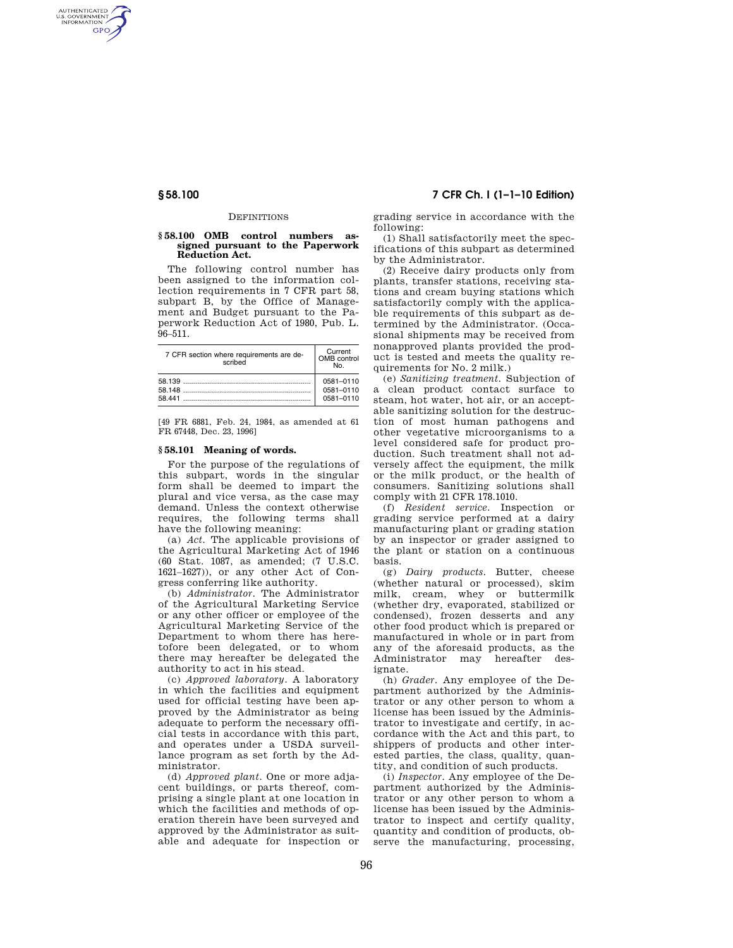AUTHENTICATED<br>U.S. GOVERNMENT<br>INFORMATION **GPO** 

#### **DEFINITIONS**

### **§ 58.100 OMB control numbers assigned pursuant to the Paperwork Reduction Act.**

The following control number has been assigned to the information collection requirements in 7 CFR part 58, subpart B, by the Office of Management and Budget pursuant to the Paperwork Reduction Act of 1980, Pub. L. 96–511.

| 7 CFR section where requirements are de-<br>scribed | Current<br>OMB control<br>No        |
|-----------------------------------------------------|-------------------------------------|
| 58 441                                              | 0581-0110<br>0581-0110<br>0581-0110 |

[49 FR 6881, Feb. 24, 1984, as amended at 61 FR 67448, Dec. 23, 1996]

### **§ 58.101 Meaning of words.**

For the purpose of the regulations of this subpart, words in the singular form shall be deemed to impart the plural and vice versa, as the case may demand. Unless the context otherwise requires, the following terms shall have the following meaning:

(a) *Act.* The applicable provisions of the Agricultural Marketing Act of 1946 (60 Stat. 1087, as amended; (7 U.S.C. 1621–1627)), or any other Act of Congress conferring like authority.

(b) *Administrator.* The Administrator of the Agricultural Marketing Service or any other officer or employee of the Agricultural Marketing Service of the Department to whom there has heretofore been delegated, or to whom there may hereafter be delegated the authority to act in his stead.

(c) *Approved laboratory.* A laboratory in which the facilities and equipment used for official testing have been approved by the Administrator as being adequate to perform the necessary official tests in accordance with this part, and operates under a USDA surveillance program as set forth by the Administrator.

(d) *Approved plant.* One or more adjacent buildings, or parts thereof, comprising a single plant at one location in which the facilities and methods of operation therein have been surveyed and approved by the Administrator as suitable and adequate for inspection or

# **§ 58.100 7 CFR Ch. I (1–1–10 Edition)**

grading service in accordance with the following:

(1) Shall satisfactorily meet the specifications of this subpart as determined by the Administrator.

(2) Receive dairy products only from plants, transfer stations, receiving stations and cream buying stations which satisfactorily comply with the applicable requirements of this subpart as determined by the Administrator. (Occasional shipments may be received from nonapproved plants provided the product is tested and meets the quality requirements for  $No$  2 milk.)

(e) *Sanitizing treatment.* Subjection of a clean product contact surface to steam, hot water, hot air, or an acceptable sanitizing solution for the destruction of most human pathogens and other vegetative microorganisms to a level considered safe for product production. Such treatment shall not adversely affect the equipment, the milk or the milk product, or the health of consumers. Sanitizing solutions shall comply with 21 CFR 178.1010.

(f) *Resident service.* Inspection or grading service performed at a dairy manufacturing plant or grading station by an inspector or grader assigned to the plant or station on a continuous basis.

(g) *Dairy products.* Butter, cheese (whether natural or processed), skim milk, cream, whey or buttermilk (whether dry, evaporated, stabilized or condensed), frozen desserts and any other food product which is prepared or manufactured in whole or in part from any of the aforesaid products, as the Administrator may be<br>reafter des-Administrator may ignate.

(h) *Grader.* Any employee of the Department authorized by the Administrator or any other person to whom a license has been issued by the Administrator to investigate and certify, in accordance with the Act and this part, to shippers of products and other interested parties, the class, quality, quantity, and condition of such products.

(i) *Inspector.* Any employee of the Department authorized by the Administrator or any other person to whom a license has been issued by the Administrator to inspect and certify quality, quantity and condition of products, observe the manufacturing, processing,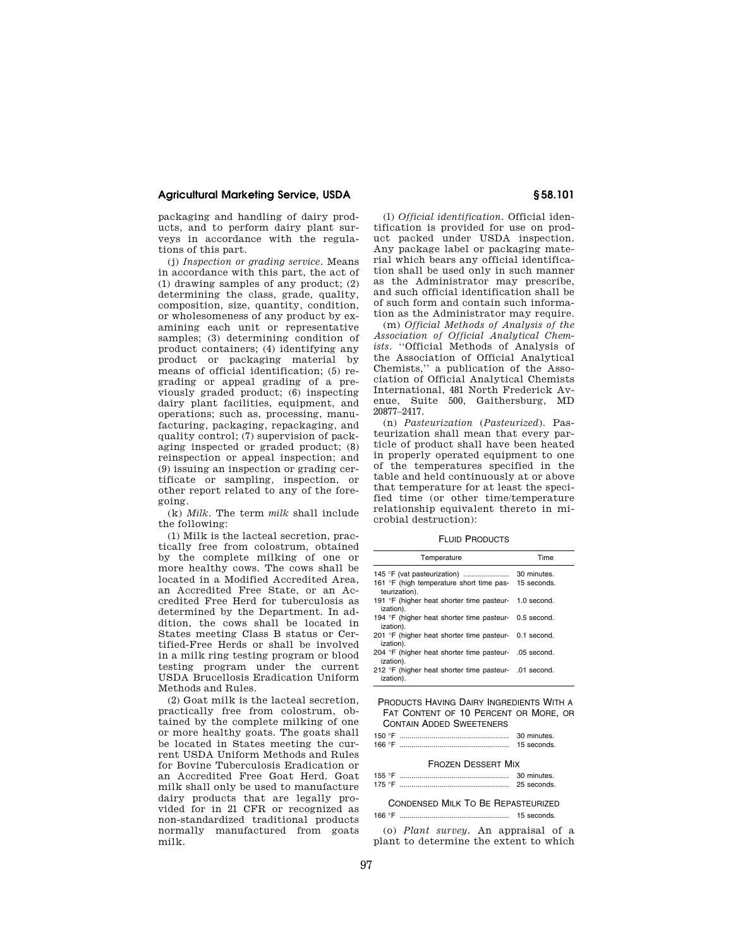## **Agricultural Marketing Service, USDA § 58.101**

packaging and handling of dairy products, and to perform dairy plant surveys in accordance with the regulations of this part.

(j) *Inspection or grading service.* Means in accordance with this part, the act of (1) drawing samples of any product; (2) determining the class, grade, quality, composition, size, quantity, condition, or wholesomeness of any product by examining each unit or representative samples; (3) determining condition of product containers; (4) identifying any product or packaging material by means of official identification; (5) regrading or appeal grading of a previously graded product; (6) inspecting dairy plant facilities, equipment, and operations; such as, processing, manufacturing, packaging, repackaging, and quality control; (7) supervision of packaging inspected or graded product; (8) reinspection or appeal inspection; and (9) issuing an inspection or grading certificate or sampling, inspection, or other report related to any of the foregoing.

(k) *Milk.* The term *milk* shall include the following:

(1) Milk is the lacteal secretion, practically free from colostrum, obtained by the complete milking of one or more healthy cows. The cows shall be located in a Modified Accredited Area, an Accredited Free State, or an Accredited Free Herd for tuberculosis as determined by the Department. In addition, the cows shall be located in States meeting Class B status or Certified-Free Herds or shall be involved in a milk ring testing program or blood testing program under the current USDA Brucellosis Eradication Uniform Methods and Rules.

(2) Goat milk is the lacteal secretion, practically free from colostrum, obtained by the complete milking of one or more healthy goats. The goats shall be located in States meeting the current USDA Uniform Methods and Rules for Bovine Tuberculosis Eradication or an Accredited Free Goat Herd. Goat milk shall only be used to manufacture dairy products that are legally provided for in 21 CFR or recognized as non-standardized traditional products normally manufactured from goats milk.

(l) *Official identification.* Official identification is provided for use on product packed under USDA inspection. Any package label or packaging material which bears any official identification shall be used only in such manner as the Administrator may prescribe, and such official identification shall be of such form and contain such information as the Administrator may require.

(m) *Official Methods of Analysis of the Association of Official Analytical Chem*ists. "Official Methods of Analysis of the Association of Official Analytical Chemists,'' a publication of the Association of Official Analytical Chemists International, 481 North Frederick Avenue, Suite 500, Gaithersburg, MD 20877–2417.

(n) *Pasteurization* (*Pasteurized*). Pasteurization shall mean that every particle of product shall have been heated in properly operated equipment to one of the temperatures specified in the table and held continuously at or above that temperature for at least the specified time (or other time/temperature relationship equivalent thereto in microbial destruction):

FLUID PRODUCTS

| Temperature                                                           | Time |
|-----------------------------------------------------------------------|------|
|                                                                       |      |
| 161 °F (high temperature short time pas- 15 seconds.<br>teurization). |      |
| 191 °F (higher heat shorter time pasteur- 1.0 second.<br>ization).    |      |
| 194 °F (higher heat shorter time pasteur- 0.5 second.<br>ization).    |      |
| 201 °F (higher heat shorter time pasteur- 0.1 second.<br>ization).    |      |
| 204 °F (higher heat shorter time pasteur- .05 second.<br>ization).    |      |
| 212 °F (higher heat shorter time pasteur- .01 second.<br>ization).    |      |

PRODUCTS HAVING DAIRY INGREDIENTS WITH A FAT CONTENT OF 10 PERCENT OR MORE, OR CONTAIN ADDED SWEETENERS

| 150 $\degree$ F | 30 minutes. |
|-----------------|-------------|
| 166 $\degree$ F | 15 seconds  |

## FROZEN DESSERT MIX 155 °F ....................................................... 30 minutes.

| 175 | 25 seconds |
|-----|------------|
|     |            |

## CONDENSED MILK TO BE REPASTEURIZED 166 °F ....................................................... 15 seconds.

(o) *Plant survey.* An appraisal of a plant to determine the extent to which